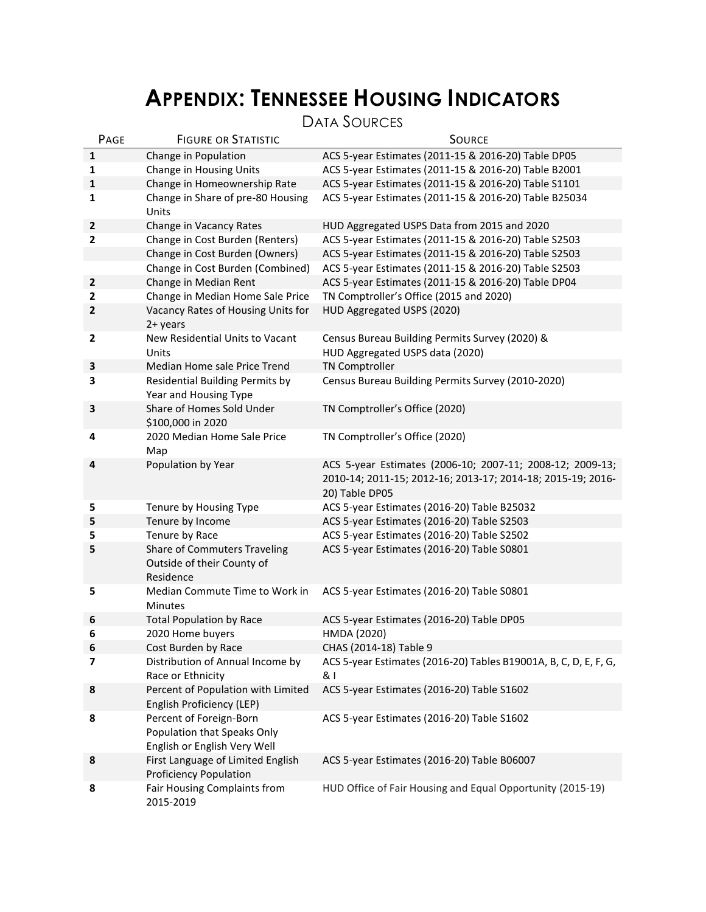# **APPENDIX: TENNESSEE HOUSING INDICATORS**

DATA SOURCES

| PAGE           | <b>FIGURE OR STATISTIC</b>                                                             | <b>SOURCE</b>                                                                                                                              |
|----------------|----------------------------------------------------------------------------------------|--------------------------------------------------------------------------------------------------------------------------------------------|
| 1              | Change in Population                                                                   | ACS 5-year Estimates (2011-15 & 2016-20) Table DP05                                                                                        |
| 1              | Change in Housing Units                                                                | ACS 5-year Estimates (2011-15 & 2016-20) Table B2001                                                                                       |
| 1              | Change in Homeownership Rate                                                           | ACS 5-year Estimates (2011-15 & 2016-20) Table S1101                                                                                       |
| 1              | Change in Share of pre-80 Housing<br>Units                                             | ACS 5-year Estimates (2011-15 & 2016-20) Table B25034                                                                                      |
| $\mathbf{2}$   | Change in Vacancy Rates                                                                | HUD Aggregated USPS Data from 2015 and 2020                                                                                                |
| $\mathbf{2}$   | Change in Cost Burden (Renters)                                                        | ACS 5-year Estimates (2011-15 & 2016-20) Table S2503                                                                                       |
|                | Change in Cost Burden (Owners)                                                         | ACS 5-year Estimates (2011-15 & 2016-20) Table S2503                                                                                       |
|                | Change in Cost Burden (Combined)                                                       | ACS 5-year Estimates (2011-15 & 2016-20) Table S2503                                                                                       |
| $\mathbf 2$    | Change in Median Rent                                                                  | ACS 5-year Estimates (2011-15 & 2016-20) Table DP04                                                                                        |
| 2              | Change in Median Home Sale Price                                                       | TN Comptroller's Office (2015 and 2020)                                                                                                    |
| $\mathbf{2}$   | Vacancy Rates of Housing Units for<br>2+ years                                         | HUD Aggregated USPS (2020)                                                                                                                 |
| $\mathbf{2}$   | New Residential Units to Vacant<br>Units                                               | Census Bureau Building Permits Survey (2020) &<br>HUD Aggregated USPS data (2020)                                                          |
| 3              | Median Home sale Price Trend                                                           | <b>TN Comptroller</b>                                                                                                                      |
| 3              | <b>Residential Building Permits by</b><br>Year and Housing Type                        | Census Bureau Building Permits Survey (2010-2020)                                                                                          |
| 3              | Share of Homes Sold Under<br>\$100,000 in 2020                                         | TN Comptroller's Office (2020)                                                                                                             |
| 4              | 2020 Median Home Sale Price<br>Map                                                     | TN Comptroller's Office (2020)                                                                                                             |
| 4              | Population by Year                                                                     | ACS 5-year Estimates (2006-10; 2007-11; 2008-12; 2009-13;<br>2010-14; 2011-15; 2012-16; 2013-17; 2014-18; 2015-19; 2016-<br>20) Table DP05 |
| 5              | Tenure by Housing Type                                                                 | ACS 5-year Estimates (2016-20) Table B25032                                                                                                |
| 5              | Tenure by Income                                                                       | ACS 5-year Estimates (2016-20) Table S2503                                                                                                 |
| 5              | Tenure by Race                                                                         | ACS 5-year Estimates (2016-20) Table S2502                                                                                                 |
| 5              | Share of Commuters Traveling<br>Outside of their County of<br>Residence                | ACS 5-year Estimates (2016-20) Table S0801                                                                                                 |
| 5              | Median Commute Time to Work in<br>Minutes                                              | ACS 5-year Estimates (2016-20) Table S0801                                                                                                 |
| 6              | <b>Total Population by Race</b>                                                        | ACS 5-year Estimates (2016-20) Table DP05                                                                                                  |
| 6              | 2020 Home buyers                                                                       | HMDA (2020)                                                                                                                                |
| 6              | Cost Burden by Race                                                                    | CHAS (2014-18) Table 9                                                                                                                     |
| $\overline{7}$ | Distribution of Annual Income by<br>Race or Ethnicity                                  | ACS 5-year Estimates (2016-20) Tables B19001A, B, C, D, E, F, G,<br>& I                                                                    |
| 8              | Percent of Population with Limited<br>English Proficiency (LEP)                        | ACS 5-year Estimates (2016-20) Table S1602                                                                                                 |
| 8              | Percent of Foreign-Born<br>Population that Speaks Only<br>English or English Very Well | ACS 5-year Estimates (2016-20) Table S1602                                                                                                 |
| 8              | First Language of Limited English<br><b>Proficiency Population</b>                     | ACS 5-year Estimates (2016-20) Table B06007                                                                                                |
| 8              | Fair Housing Complaints from<br>2015-2019                                              | HUD Office of Fair Housing and Equal Opportunity (2015-19)                                                                                 |